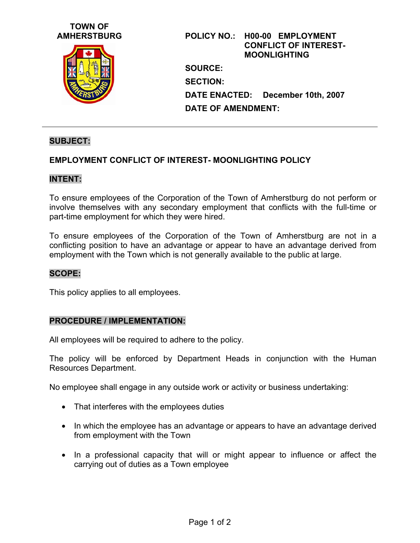# **TOWN OF**



**AMHERSTBURG POLICY NO.: H00-00 EMPLOYMENT CONFLICT OF INTEREST-MOONLIGHTING SOURCE: SECTION: DATE ENACTED: December 10th, 2007 DATE OF AMENDMENT:** 

# **SUBJECT:**

# **EMPLOYMENT CONFLICT OF INTEREST- MOONLIGHTING POLICY**

#### **INTENT:**

To ensure employees of the Corporation of the Town of Amherstburg do not perform or involve themselves with any secondary employment that conflicts with the full-time or part-time employment for which they were hired.

To ensure employees of the Corporation of the Town of Amherstburg are not in a conflicting position to have an advantage or appear to have an advantage derived from employment with the Town which is not generally available to the public at large.

## **SCOPE:**

This policy applies to all employees.

#### **PROCEDURE / IMPLEMENTATION:**

All employees will be required to adhere to the policy.

The policy will be enforced by Department Heads in conjunction with the Human Resources Department.

No employee shall engage in any outside work or activity or business undertaking:

- That interferes with the employees duties
- In which the employee has an advantage or appears to have an advantage derived from employment with the Town
- In a professional capacity that will or might appear to influence or affect the carrying out of duties as a Town employee